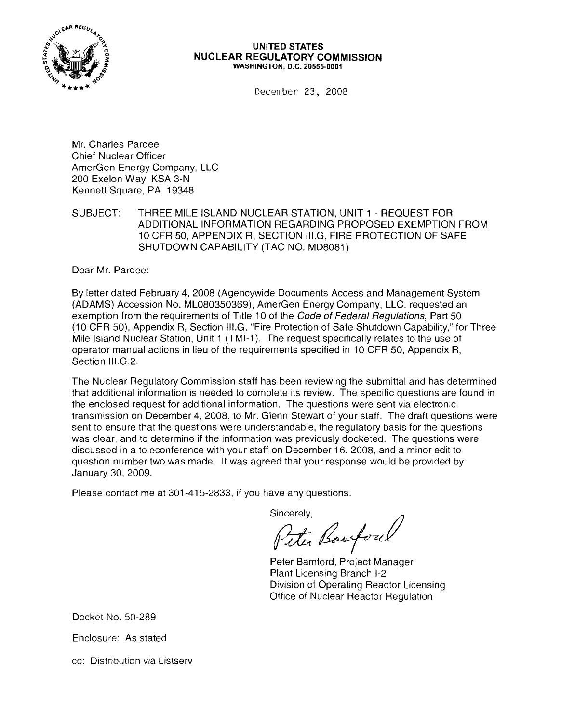

#### **UNITED STATES NUCLEAR REGULATORY COMMISSION** WASHINGTON, D.C. 20555-0001

December 23, 2008

Mr. Charles Pardee Chief Nuclear Officer AmerGen Energy Company, LLC 200 Exelon Way, KSA 3-N Kennett Square, PA 19348

SUBJECT: THREE MILE ISLAND NUCLEAR STATION, UNIT 1 - REQUEST FOR ADDITIONAL INFORMATION REGARDING PROPOSED EXEMPTION FROM 10 CFR 50, APPENDIX R, SECTION III.G, FIRE PROTECTION OF SAFE SHUTDOWN CAPABILITY (TAC NO. MD8081)

Dear Mr. Pardee:

By letter dated February 4, 2008 (Agencywide Documents Access and Management System (ADAMS) Accession No. ML080350369), AmerGen Energy Company, LLC. requested an exemption from the requirements of Title 10 of the Code of Federal Regulations, Part 50 (10 CFR 50), Appendix R, Section III.G, "Fire Protection of Safe Shutdown Capability," for Three Mile Island Nuclear Station, Unit 1 (TMI-1). The request specifically relates to the use of operator manual actions in lieu of the requirements specified in 10 CFR 50, Appendix R, Section III.G.2.

The Nuclear Regulatory Commission staff has been reviewing the submittal and has determined that additional information is needed to complete its review. The specific questions are found in the enclosed request for additional information. The questions were sent via electronic transmission on December 4, 2008, to Mr. Glenn Stewart of your staff. The draft questions were sent to ensure that the questions were understandable, the regulatory basis for the questions was clear, and to determine if the information was previously docketed. The questions were discussed in a teleconference with your staff on December 16, 2008, and a minor edit to question number two was made. It was agreed that your response would be provided by January 30, 2009.

Please contact me at 301-415-2833, if you have any questions.

Sincerely,<br>Pitter Banford

Peter Bamford, Project Manager Plant Licensing Branch 1-2 Division of Operating Reactor Licensing Office of Nuclear Reactor Regulation

Docket No. 50-289

Enclosure: As stated

cc: Distribution via Listserv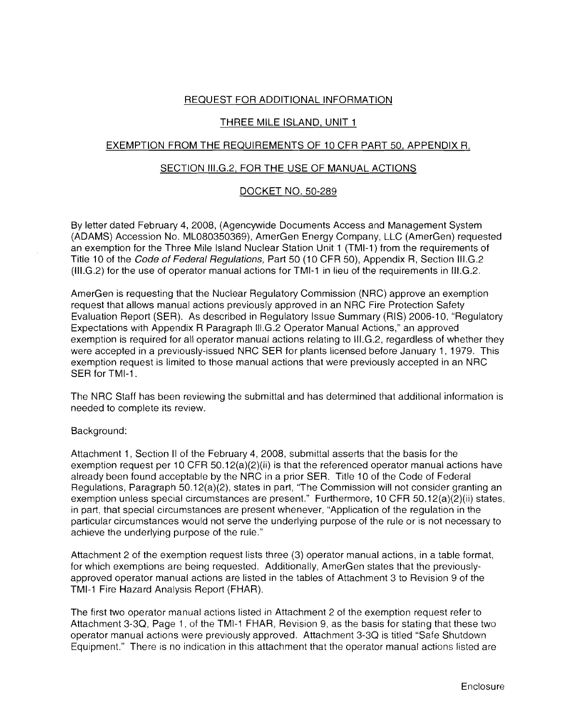## REQUEST FOR ADDITIONAL INFORMATION

# THREE MILE ISLAND, UNIT 1

# EXEMPTION FROM THE REQUIREMENTS OF 10 CFR PART 50, APPENDIX R,

## SECTION III.G.2, FOR THE USE OF MANUAL ACTIONS

# DOCKET NO. 50-289

By letter dated February 4, 2008, (Agencywide Documents Access and Management System (ADAMS) Accession No. ML080350369), AmerGen Energy Company, LLC (AmerGen) requested an exemption for the Three Mile Island Nuclear Station Unit 1 (TMI-1) from the requirements of Title 10 of the Code of Federal Regulations, Part 50 (10 CFR 50), Appendix R, Section III.G.2 (1II.G.2) for the use of operator manual actions for TMI-1 in lieu of the requirements in III.G.2.

AmerGen is requesting that the Nuclear Regulatory Commission (NRC) approve an exemption request that allows manual actions previously approved in an NRC Fire Protection Safety Evaluation Report (SER). As described in Regulatory Issue Summary (RIS) 2006-10, "Regulatory Expectations with Appendix R Paragraph III.G.2 Operator Manual Actions," an approved exemption is required for all operator manual actions relating to III.G.2, regardless of whether they were accepted in a previously-issued NRC SER for plants licensed before January 1, 1979. This exemption request is limited to those manual actions that were previously accepted in an NRC SER for TMI-1.

The NRC Staff has been reviewing the submittal and has determined that additional information is needed to complete its review.

## Background:

Attachment 1, Section II of the February 4, 2008, submittal asserts that the basis for the exemption request per 10 CFR 50.12(a)(2)(ii) is that the referenced operator manual actions have already been found acceptable by the NRC in a prior SER. Title 10 of the Code of Federal Regulations, Paragraph 50.12(a)(2), states in part, 'The Commission will not consider granting an exemption unless special circumstances are present." Furthermore, 10 CFR 50.12(a)(2)(ii) states, in part, that special circumstances are present whenever, "Application of the regulation in the particular circumstances would not serve the underlying purpose of the rule or is not necessary to achieve the underlying purpose of the rule."

Attachment 2 of the exemption request lists three (3) operator manual actions, in a table format, for which exemptions are being requested. Additionally, AmerGen states that the previouslyapproved operator manual actions are listed in the tables of Attachment 3 to Revision 9 of the TMI-1 Fire Hazard Analysis Report (FHAR).

The first two operator manual actions listed in Attachment 2 of the exemption request refer to Attachment 3-3Q, Page 1, of the TMI-1 FHAR, Revision 9, as the basis for stating that these two operator manual actions were previously approved. Attachment 3-3Q is titled "Safe Shutdown Equipment." There is no indication in this attachment that the operator manual actions listed are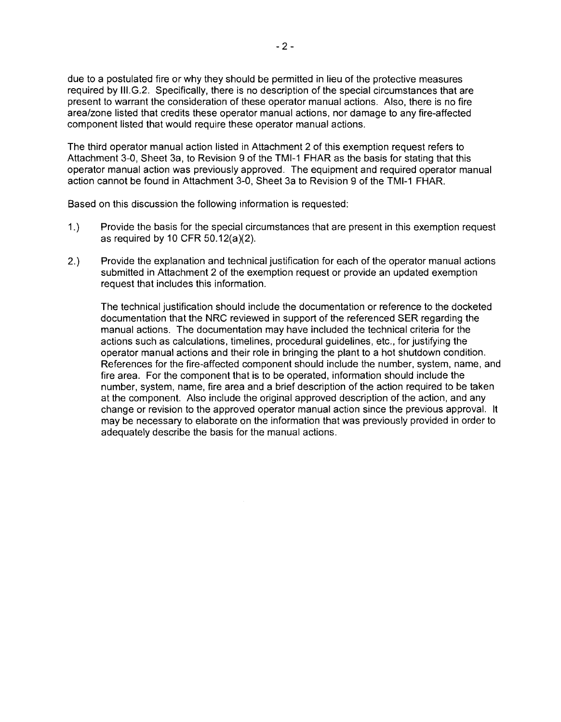due to a postulated fire or why they should be permitted in lieu of the protective measures required by III.G.2. Specifically, there is no description of the special circumstances that are present to warrant the consideration of these operator manual actions. Also, there is no fire area/zone listed that credits these operator manual actions, nor damage to any fire-affected component listed that would require these operator manual actions.

The third operator manual action listed in Attachment 2 of this exemption request refers to Attachment 3-0, Sheet 3a, to Revision 9 of the TMI-1 FHAR as the basis for stating that this operator manual action was previously approved. The equipment and required operator manual action cannot be found in Attachment 3-0, Sheet 3a to Revision 9 of the TMI-1 FHAR.

Based on this discussion the following information is requested:

- 1.) Provide the basis for the special circumstances that are present in this exemption request as required by 10 CFR 50.12(a)(2).
- 2.) Provide the explanation and technical justification for each of the operator manual actions submitted in Attachment 2 of the exemption request or provide an updated exemption request that includes this information.

The technical justification should include the documentation or reference to the docketed documentation that the NRC reviewed in support of the referenced SER regarding the manual actions. The documentation may have included the technical criteria for the actions such as calculations, timelines, procedural guidelines, etc., for justifying the operator manual actions and their role in bringing the plant to a hot shutdown condition. References for the fire-affected component should include the number, system, name, and fire area. For the component that is to be operated, information should include the number, system, name, fire area and a brief description of the action required to be taken at the component. Also include the original approved description of the action, and any change or revision to the approved operator manual action since the previous approval. It may be necessary to elaborate on the information that was previously provided in order to adequately describe the basis for the manual actions.